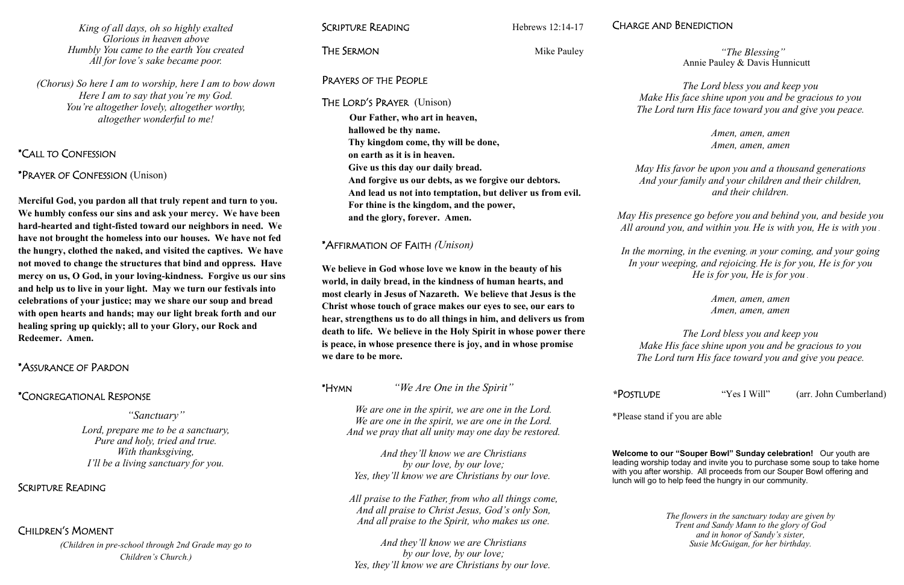*King of all days, oh so highly exalted Glorious in heaven above Humbly You came to the earth You created All for love's sake became poor.*

*(Chorus) So here I am to worship, here I am to bow down Here I am to say that you're my God. You're altogether lovely, altogether worthy, altogether wonderful to me!*

# \*CALL TO CONFESSION

# \*PRAYER OF CONFESSION (Unison)

**Merciful God, you pardon all that truly repent and turn to you. We humbly confess our sins and ask your mercy. We have been hard-hearted and tight-fisted toward our neighbors in need. We have not brought the homeless into our houses. We have not fed the hungry, clothed the naked, and visited the captives. We have not moved to change the structures that bind and oppress. Have mercy on us, O God, in your loving-kindness. Forgive us our sins and help us to live in your light. May we turn our festivals into celebrations of your justice; may we share our soup and bread with open hearts and hands; may our light break forth and our healing spring up quickly; all to your Glory, our Rock and Redeemer. Amen.**

# \*ASSURANCE OF PARDON

\*CONGREGATIONAL RESPONSE

*"Sanctuary" Lord, prepare me to be a sanctuary, Pure and holy, tried and true. With thanksgiving, I'll be a living sanctuary for you.* 

SCRIPTURE READING

# CHILDREN'S MOMENT

*(Children in pre-school through 2nd Grade may go to Children's Church.)* 

SCRIPTURE READING Hebrews 12:14-17

THE SERMON Mike Pauley

# PRAYERS OF THE PEOPLE

THE LORD'S PRAYER (Unison)

 **Our Father, who art in heaven, hallowed be thy name. Thy kingdom come, thy will be done, on earth as it is in heaven. Give us this day our daily bread. And forgive us our debts, as we forgive our debtors. And lead us not into temptation, but deliver us from evil. For thine is the kingdom, and the power, and the glory, forever. Amen.**

# \*AFFIRMATION OF FAITH *(Unison)*

**We believe in God whose love we know in the beauty of his world, in daily bread, in the kindness of human hearts, and most clearly in Jesus of Nazareth. We believe that Jesus is the Christ whose touch of grace makes our eyes to see, our ears to hear, strengthens us to do all things in him, and delivers us from death to life. We believe in the Holy Spirit in whose power there is peace, in whose presence there is joy, and in whose promise we dare to be more.**

## \*HYMN *"We Are One in the Spirit"*

*We are one in the spirit, we are one in the Lord. We are one in the spirit, we are one in the Lord. And we pray that all unity may one day be restored.* 

*And they'll know we are Christians by our love, by our love; Yes, they'll know we are Christians by our love.*.

*All praise to the Father, from who all things come, And all praise to Christ Jesus, God's only Son, And all praise to the Spirit, who makes us one.*

*And they'll know we are Christians by our love, by our love; Yes, they'll know we are Christians by our love.*.

### CHARGE AND BENEDICTION

 *"The Blessing"* Annie Pauley & Davis Hunnicutt

*The Lord bless you and keep you Make His face shine upon you and be gracious to you The Lord turn His face toward you and give you peace.*

> *Amen, amen, amen Amen, amen, amen*

*May His favor be upon you and a thousand generations And your family and your children and their children, and their children.*

*May His presence go before you and behind you, and beside you All around you, and within you. He is with you, He is with you .*

*In the morning, in the evening, in your coming, and your going In your weeping, and rejoicing, He is for you, He is for you He is for you, He is for you .*

> *Amen, amen, amen Amen, amen, amen*

*The Lord bless you and keep you Make His face shine upon you and be gracious to you The Lord turn His face toward you and give you peace.*

*\**POSTLUDE "Yes I Will" (arr. John Cumberland)

\*Please stand if you are able

**Welcome to our "Souper Bowl" Sunday celebration!** Our youth are leading worship today and invite you to purchase some soup to take home with you after worship. All proceeds from our Souper Bowl offering and lunch will go to help feed the hungry in our community.

> *The flowers in the sanctuary today are given by Trent and Sandy Mann to the glory of God and in honor of Sandy's sister, Susie McGuigan, for her birthday.*